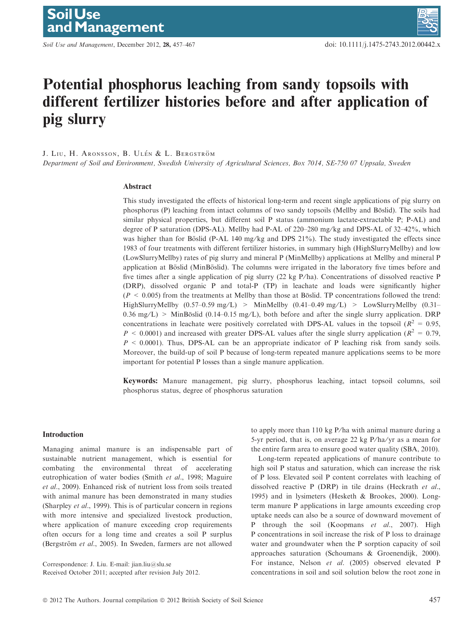Soil Use and Management, December 2012, 28, 457-467 doi: 10.1111/j.1475-2743.2012.00442.x

# Potential phosphorus leaching from sandy topsoils with different fertilizer histories before and after application of pig slurry

J. Liu, H. Aronsson, B. Ulén & L. Bergström

Department of Soil and Environment, Swedish University of Agricultural Sciences, Box 7014, SE-750 07 Uppsala, Sweden

## Abstract

This study investigated the effects of historical long-term and recent single applications of pig slurry on phosphorus (P) leaching from intact columns of two sandy topsoils (Mellby and Böslid). The soils had similar physical properties, but different soil P status (ammonium lactate-extractable P; P-AL) and degree of P saturation (DPS-AL). Mellby had P-AL of 220–280 mg/kg and DPS-AL of 32–42%, which was higher than for Böslid (P-AL 140 mg/kg and DPS  $21\%$ ). The study investigated the effects since 1983 of four treatments with different fertilizer histories, in summary high (HighSlurryMellby) and low (LowSlurryMellby) rates of pig slurry and mineral P (MinMellby) applications at Mellby and mineral P application at Böslid (MinBöslid). The columns were irrigated in the laboratory five times before and five times after a single application of pig slurry  $(22 \text{ kg } P/ha)$ . Concentrations of dissolved reactive P (DRP), dissolved organic P and total-P (TP) in leachate and loads were significantly higher  $(P \le 0.005)$  from the treatments at Mellby than those at Böslid. TP concentrations followed the trend: HighSlurryMellby  $(0.57-0.59 \text{ mg/L})$  > MinMellby  $(0.41-0.49 \text{ mg/L})$  > LowSlurryMellby  $(0.31-0.49 \text{ mg/L})$  $0.36 \text{ mg/L}$  > MinBöslid (0.14–0.15 mg/L), both before and after the single slurry application. DRP concentrations in leachate were positively correlated with DPS-AL values in the topsoil ( $R^2 = 0.95$ ,  $P < 0.0001$ ) and increased with greater DPS-AL values after the single slurry application ( $R^2 = 0.79$ ,  $P \le 0.0001$ ). Thus, DPS-AL can be an appropriate indicator of P leaching risk from sandy soils. Moreover, the build-up of soil P because of long-term repeated manure applications seems to be more important for potential P losses than a single manure application.

Keywords: Manure management, pig slurry, phosphorus leaching, intact topsoil columns, soil phosphorus status, degree of phosphorus saturation

## Introduction

Managing animal manure is an indispensable part of sustainable nutrient management, which is essential for combating the environmental threat of accelerating eutrophication of water bodies (Smith et al., 1998; Maguire et al., 2009). Enhanced risk of nutrient loss from soils treated with animal manure has been demonstrated in many studies (Sharpley et al., 1999). This is of particular concern in regions with more intensive and specialized livestock production, where application of manure exceeding crop requirements often occurs for a long time and creates a soil P surplus (Bergström et al., 2005). In Sweden, farmers are not allowed

Correspondence: J. Liu. E-mail: jian.liu@slu.se Received October 2011; accepted after revision July 2012. to apply more than 110 kg P/ha with animal manure during a 5-yr period, that is, on average 22 kg  $P/ha/yr$  as a mean for the entire farm area to ensure good water quality (SBA, 2010).

Long-term repeated applications of manure contribute to high soil P status and saturation, which can increase the risk of P loss. Elevated soil P content correlates with leaching of dissolved reactive P (DRP) in tile drains (Heckrath et al., 1995) and in lysimeters (Hesketh & Brookes, 2000). Longterm manure P applications in large amounts exceeding crop uptake needs can also be a source of downward movement of P through the soil (Koopmans et al., 2007). High P concentrations in soil increase the risk of P loss to drainage water and groundwater when the P sorption capacity of soil approaches saturation (Schoumans & Groenendijk, 2000). For instance, Nelson et al. (2005) observed elevated P concentrations in soil and soil solution below the root zone in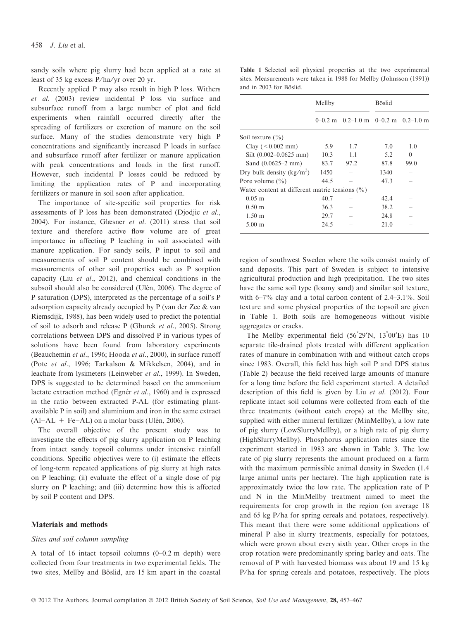sandy soils where pig slurry had been applied at a rate at least of 35 kg excess P/ha/yr over 20 yr.

Recently applied P may also result in high P loss. Withers et al. (2003) review incidental P loss via surface and subsurface runoff from a large number of plot and field experiments when rainfall occurred directly after the spreading of fertilizers or excretion of manure on the soil surface. Many of the studies demonstrate very high P concentrations and significantly increased P loads in surface and subsurface runoff after fertilizer or manure application with peak concentrations and loads in the first runoff. However, such incidental P losses could be reduced by limiting the application rates of P and incorporating fertilizers or manure in soil soon after application.

The importance of site-specific soil properties for risk assessments of P loss has been demonstrated (Djodjic et al., 2004). For instance, Glæsner et al. (2011) stress that soil texture and therefore active flow volume are of great importance in affecting P leaching in soil associated with manure application. For sandy soils, P input to soil and measurements of soil P content should be combined with measurements of other soil properties such as P sorption capacity (Liu et al., 2012), and chemical conditions in the subsoil should also be considered (Ulén, 2006). The degree of P saturation (DPS), interpreted as the percentage of a soil's P adsorption capacity already occupied by P (van der Zee & van Riemsdijk, 1988), has been widely used to predict the potential of soil to adsorb and release P (Gburek et al., 2005). Strong correlations between DPS and dissolved P in various types of solutions have been found from laboratory experiments (Beauchemin et al., 1996; Hooda et al., 2000), in surface runoff (Pote et al., 1996; Tarkalson & Mikkelsen, 2004), and in leachate from lysimeters (Leinweber et al., 1999). In Sweden, DPS is suggested to be determined based on the ammonium lactate extraction method (Egnér et al., 1960) and is expressed in the ratio between extracted P-AL (for estimating plantavailable P in soil) and aluminium and iron in the same extract  $(AI-AL + Fe-AL)$  on a molar basis (Ulén, 2006).

The overall objective of the present study was to investigate the effects of pig slurry application on P leaching from intact sandy topsoil columns under intensive rainfall conditions. Specific objectives were to (i) estimate the effects of long-term repeated applications of pig slurry at high rates on P leaching; (ii) evaluate the effect of a single dose of pig slurry on P leaching; and (iii) determine how this is affected by soil P content and DPS.

#### Materials and methods

#### Sites and soil column sampling

A total of 16 intact topsoil columns (0–0.2 m depth) were collected from four treatments in two experimental fields. The two sites, Mellby and Böslid, are 15 km apart in the coastal

Table 1 Selected soil physical properties at the two experimental sites. Measurements were taken in 1988 for Mellby (Johnsson (1991)) and in 2003 for Böslid.

|                                                    | Mellby |                                             | <b>Böslid</b> |          |  |  |  |  |
|----------------------------------------------------|--------|---------------------------------------------|---------------|----------|--|--|--|--|
|                                                    |        | $0-0.2$ m $0.2-1.0$ m $0-0.2$ m $0.2-1.0$ m |               |          |  |  |  |  |
| Soil texture $(\% )$                               |        |                                             |               |          |  |  |  |  |
| Clay $(< 0.002$ mm)                                | 5.9    | 1.7                                         | 7.0           | 1.0      |  |  |  |  |
| Silt $(0.002 - 0.0625$ mm)                         | 10.3   | 1.1                                         | 5.2           | $\Omega$ |  |  |  |  |
| Sand $(0.0625-2$ mm)                               | 83.7   | 97.2                                        | 87.8          | 99.0     |  |  |  |  |
| Dry bulk density $(kg/m^3)$                        | 1450   |                                             | 1340          |          |  |  |  |  |
| Pore volume $(\% )$                                | 44.5   |                                             | 47.3          |          |  |  |  |  |
| Water content at different matric tensions $(\% )$ |        |                                             |               |          |  |  |  |  |
| $0.05 \; \mathrm{m}$                               | 40.7   |                                             | 42.4          |          |  |  |  |  |
| $0.50 \;{\rm m}$                                   | 36.3   |                                             | 38.2          |          |  |  |  |  |
| $1.50 \;{\rm m}$                                   | 29.7   |                                             | 24.8          |          |  |  |  |  |
| $5.00$ m                                           | 24.5   |                                             | 21.0          |          |  |  |  |  |

region of southwest Sweden where the soils consist mainly of sand deposits. This part of Sweden is subject to intensive agricultural production and high precipitation. The two sites have the same soil type (loamy sand) and similar soil texture, with 6–7% clay and a total carbon content of 2.4–3.1%. Soil texture and some physical properties of the topsoil are given in Table 1. Both soils are homogeneous without visible aggregates or cracks.

The Mellby experimental field  $(56°29'N, 13°00'E)$  has 10 separate tile-drained plots treated with different application rates of manure in combination with and without catch crops since 1983. Overall, this field has high soil P and DPS status (Table 2) because the field received large amounts of manure for a long time before the field experiment started. A detailed description of this field is given by Liu et al. (2012). Four replicate intact soil columns were collected from each of the three treatments (without catch crops) at the Mellby site, supplied with either mineral fertilizer (MinMellby), a low rate of pig slurry (LowSlurryMellby), or a high rate of pig slurry (HighSlurryMellby). Phosphorus application rates since the experiment started in 1983 are shown in Table 3. The low rate of pig slurry represents the amount produced on a farm with the maximum permissible animal density in Sweden (1.4 large animal units per hectare). The high application rate is approximately twice the low rate. The application rate of P and N in the MinMellby treatment aimed to meet the requirements for crop growth in the region (on average 18 and 65 kg P/ha for spring cereals and potatoes, respectively). This meant that there were some additional applications of mineral P also in slurry treatments, especially for potatoes, which were grown about every sixth year. Other crops in the crop rotation were predominantly spring barley and oats. The removal of P with harvested biomass was about 19 and 15 kg P/ha for spring cereals and potatoes, respectively. The plots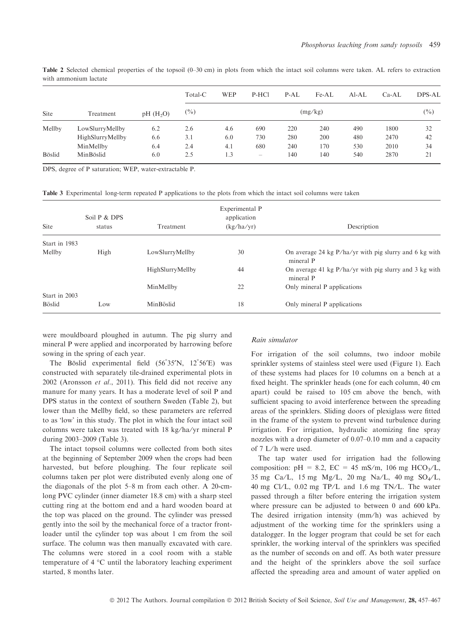|             |                  |                         | Total-C           | <b>WEP</b> | P-HCl                          | P-AL | Fe-AL | $AI-AL$ | $Ca-AL$ | DPS-AL |
|-------------|------------------|-------------------------|-------------------|------------|--------------------------------|------|-------|---------|---------|--------|
| <b>Site</b> | Treatment        | $pH$ (H <sub>2</sub> O) | $(\%)$<br>(mg/kg) |            |                                |      |       |         |         | $(\%)$ |
| Mellby      | LowSlurryMellby  | 6.2                     | 2.6               | 4.6        | 690                            | 220  | 240   | 490     | 1800    | 32     |
|             | HighSlurryMellby | 6.6                     | 3.1               | 6.0        | 730                            | 280  | 200   | 480     | 2470    | 42     |
|             | MinMellby        | 6.4                     | 2.4               | 4.1        | 680                            | 240  | 170   | 530     | 2010    | 34     |
| Böslid      | MinBöslid        | 6.0                     | 2.5               | 1.3        | $\qquad \qquad \longleftarrow$ | 140  | 140   | 540     | 2870    | 21     |
|             |                  |                         |                   |            |                                |      |       |         |         |        |

Table 2 Selected chemical properties of the topsoil (0–30 cm) in plots from which the intact soil columns were taken. AL refers to extraction with ammonium lactate

DPS, degree of P saturation; WEP, water-extractable P.

Table 3 Experimental long-term repeated P applications to the plots from which the intact soil columns were taken

| <b>Site</b>   | Soil P & DPS<br>status | Treatment        | Experimental P<br>application<br>(kg/ha/yr) | Description                                                           |
|---------------|------------------------|------------------|---------------------------------------------|-----------------------------------------------------------------------|
| Start in 1983 |                        |                  |                                             |                                                                       |
| Mellby        | High                   | LowSlurryMellby  | 30                                          | On average 24 kg $P/ha/yr$ with pig slurry and 6 kg with<br>mineral P |
|               |                        | HighSlurryMellby | 44                                          | On average 41 kg $P/ha/yr$ with pig slurry and 3 kg with<br>mineral P |
|               |                        | MinMellby        | 22                                          | Only mineral P applications                                           |
| Start in 2003 |                        |                  |                                             |                                                                       |
| Böslid        | Low                    | MinBöslid        | 18                                          | Only mineral P applications                                           |

were mouldboard ploughed in autumn. The pig slurry and mineral P were applied and incorporated by harrowing before sowing in the spring of each year.

The Böslid experimental field  $(56°35'N, 12°56'E)$  was constructed with separately tile-drained experimental plots in 2002 (Aronsson et al., 2011). This field did not receive any manure for many years. It has a moderate level of soil P and DPS status in the context of southern Sweden (Table 2), but lower than the Mellby field, so these parameters are referred to as 'low' in this study. The plot in which the four intact soil columns were taken was treated with 18 kg/ha/yr mineral P during 2003–2009 (Table 3).

The intact topsoil columns were collected from both sites at the beginning of September 2009 when the crops had been harvested, but before ploughing. The four replicate soil columns taken per plot were distributed evenly along one of the diagonals of the plot 5–8 m from each other. A 20-cmlong PVC cylinder (inner diameter 18.8 cm) with a sharp steel cutting ring at the bottom end and a hard wooden board at the top was placed on the ground. The cylinder was pressed gently into the soil by the mechanical force of a tractor frontloader until the cylinder top was about 1 cm from the soil surface. The column was then manually excavated with care. The columns were stored in a cool room with a stable temperature of  $4^{\circ}$ C until the laboratory leaching experiment started, 8 months later.

## Rain simulator

For irrigation of the soil columns, two indoor mobile sprinkler systems of stainless steel were used (Figure 1). Each of these systems had places for 10 columns on a bench at a fixed height. The sprinkler heads (one for each column, 40 cm apart) could be raised to 105 cm above the bench, with sufficient spacing to avoid interference between the spreading areas of the sprinklers. Sliding doors of plexiglass were fitted in the frame of the system to prevent wind turbulence during irrigation. For irrigation, hydraulic atomizing fine spray nozzles with a drop diameter of 0.07–0.10 mm and a capacity of 7 L/h were used.

The tap water used for irrigation had the following composition: pH = 8.2, EC = 45 mS/m, 106 mg HCO<sub>3</sub>/L, 35 mg Ca/L, 15 mg Mg/L, 20 mg Na/L, 40 mg  $SO_4/L$ , 40 mg Cl/L,  $0.02$  mg TP/L and 1.6 mg TN/L. The water passed through a filter before entering the irrigation system where pressure can be adjusted to between 0 and 600 kPa. The desired irrigation intensity (mm/h) was achieved by adjustment of the working time for the sprinklers using a datalogger. In the logger program that could be set for each sprinkler, the working interval of the sprinklers was specified as the number of seconds on and off. As both water pressure and the height of the sprinklers above the soil surface affected the spreading area and amount of water applied on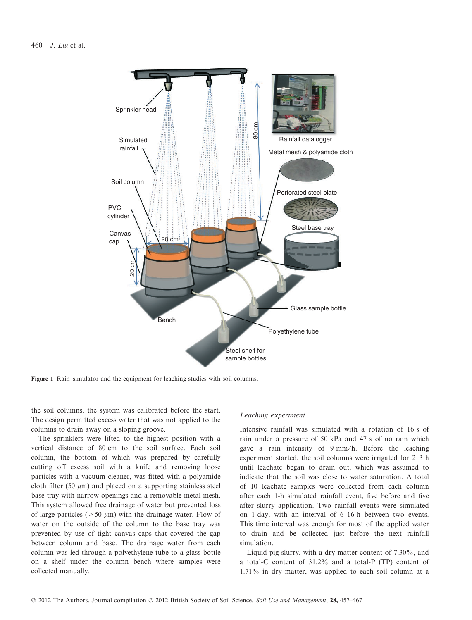

Figure 1 Rain simulator and the equipment for leaching studies with soil columns.

the soil columns, the system was calibrated before the start. The design permitted excess water that was not applied to the columns to drain away on a sloping groove.

The sprinklers were lifted to the highest position with a vertical distance of 80 cm to the soil surface. Each soil column, the bottom of which was prepared by carefully cutting off excess soil with a knife and removing loose particles with a vacuum cleaner, was fitted with a polyamide cloth filter (50  $\mu$ m) and placed on a supporting stainless steel base tray with narrow openings and a removable metal mesh. This system allowed free drainage of water but prevented loss of large particles ( $>50 \mu m$ ) with the drainage water. Flow of water on the outside of the column to the base tray was prevented by use of tight canvas caps that covered the gap between column and base. The drainage water from each column was led through a polyethylene tube to a glass bottle on a shelf under the column bench where samples were collected manually.

#### Leaching experiment

Intensive rainfall was simulated with a rotation of 16 s of rain under a pressure of 50 kPa and 47 s of no rain which gave a rain intensity of 9 mm/h. Before the leaching experiment started, the soil columns were irrigated for 2–3 h until leachate began to drain out, which was assumed to indicate that the soil was close to water saturation. A total of 10 leachate samples were collected from each column after each 1-h simulated rainfall event, five before and five after slurry application. Two rainfall events were simulated on 1 day, with an interval of 6–16 h between two events. This time interval was enough for most of the applied water to drain and be collected just before the next rainfall simulation.

Liquid pig slurry, with a dry matter content of 7.30%, and a total-C content of 31.2% and a total-P (TP) content of 1.71% in dry matter, was applied to each soil column at a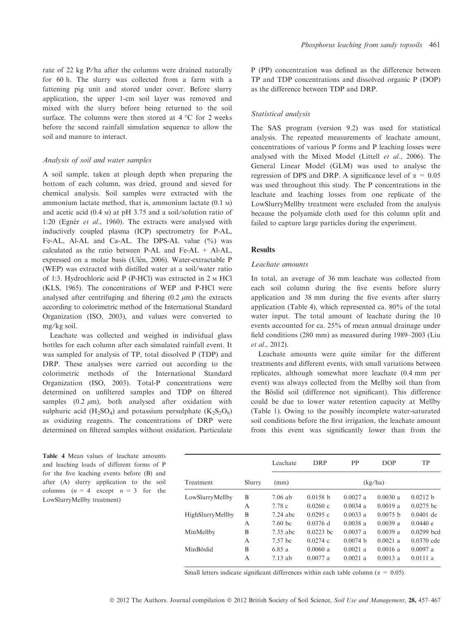rate of 22 kg P/ha after the columns were drained naturally for 60 h. The slurry was collected from a farm with a fattening pig unit and stored under cover. Before slurry application, the upper 1-cm soil layer was removed and mixed with the slurry before being returned to the soil surface. The columns were then stored at  $4^{\circ}$ C for 2 weeks before the second rainfall simulation sequence to allow the soil and manure to interact.

#### Analysis of soil and water samples

A soil sample, taken at plough depth when preparing the bottom of each column, was dried, ground and sieved for chemical analysis. Soil samples were extracted with the ammonium lactate method, that is, ammonium lactate (0.1 m) and acetic acid  $(0.4 \text{ m})$  at pH 3.75 and a soil/solution ratio of 1:20 (Egnér et al., 1960). The extracts were analysed with inductively coupled plasma (ICP) spectrometry for P-AL, Fe-AL, Al-AL and Ca-AL. The DPS-AL value (%) was calculated as the ratio between P-AL and Fe-AL  $+$  Al-AL, expressed on a molar basis (Ulén, 2006). Water-extractable P (WEP) was extracted with distilled water at a soil/water ratio of 1:3. Hydrochloric acid P (P-HCl) was extracted in 2 m HCl (KLS, 1965). The concentrations of WEP and P-HCl were analysed after centrifuging and filtering  $(0.2 \mu m)$  the extracts according to colorimetric method of the International Standard Organization (ISO, 2003), and values were converted to mg/kg soil.

Leachate was collected and weighed in individual glass bottles for each column after each simulated rainfall event. It was sampled for analysis of TP, total dissolved P (TDP) and DRP. These analyses were carried out according to the colorimetric methods of the International Standard Organization (ISO, 2003). Total-P concentrations were determined on unfiltered samples and TDP on filtered samples  $(0.2 \mu m)$ , both analysed after oxidation with sulphuric acid (H<sub>2</sub>SO<sub>4</sub>) and potassium persulphate (K<sub>2</sub>S<sub>2</sub>O<sub>8</sub>) as oxidizing reagents. The concentrations of DRP were determined on filtered samples without oxidation. Particulate

Table 4 Mean values of leachate amounts and leaching loads of different forms of P for the five leaching events before (B) and after (A) slurry application to the soil columns  $(n = 4 \text{ except } n = 3 \text{ for the})$ LowSlurryMellby treatment)

P (PP) concentration was defined as the difference between TP and TDP concentrations and dissolved organic P (DOP) as the difference between TDP and DRP.

#### Statistical analysis

The SAS program (version 9.2) was used for statistical analysis. The repeated measurements of leachate amount, concentrations of various P forms and P leaching losses were analysed with the Mixed Model (Littell et al., 2006). The General Linear Model (GLM) was used to analyse the regression of DPS and DRP. A significance level of  $\alpha = 0.05$ was used throughout this study. The P concentrations in the leachate and leaching losses from one replicate of the LowSlurryMellby treatment were excluded from the analysis because the polyamide cloth used for this column split and failed to capture large particles during the experiment.

### **Results**

#### Leachate amounts

In total, an average of 36 mm leachate was collected from each soil column during the five events before slurry application and 38 mm during the five events after slurry application (Table 4), which represented ca. 80% of the total water input. The total amount of leachate during the 10 events accounted for ca. 25% of mean annual drainage under field conditions (280 mm) as measured during 1989–2003 (Liu et al., 2012).

Leachate amounts were quite similar for the different treatments and different events, with small variations between replicates, although somewhat more leachate (0.4 mm per event) was always collected from the Mellby soil than from the Böslid soil (difference not significant). This difference could be due to lower water retention capacity at Mellby (Table 1). Owing to the possibly incomplete water-saturated soil conditions before the first irrigation, the leachate amount from this event was significantly lower than from the

|                  |        | Leachate           | DRP         | PP         | <b>DOP</b> | <b>TP</b>    |  |
|------------------|--------|--------------------|-------------|------------|------------|--------------|--|
| Treatment        | Slurry | (mm)               | (kg/ha)     |            |            |              |  |
| LowSlurryMellby  | B      | $7.06$ ab          | 0.0158 h    | $0.0027$ a | 0.0030 a   | 0.0212 b     |  |
|                  | A      | 7.78 c             | 0.0260c     | $0.0034$ a | 0.0019a    | $0.0275$ bc  |  |
| HighSlurryMellby | B      | $7.24$ abc         | 0.0295c     | $0.0033$ a | 0.0075 h   | $0.0401$ de  |  |
|                  | A      | 7.60 <sub>bc</sub> | $0.0376$ d  | $0.0038$ a | 0.0039a    | 0.0440 e     |  |
| MinMellby        | B      | 7.35 abc           | $0.0223$ bc | $0.0037$ a | 0.0039a    | $0.0299$ bcd |  |
|                  | A      | 7.57 bc            | $0.0274$ c  | 0.0074 h   | $0.0021$ a | $0.0370$ cde |  |
| MinBöslid        | B      | 6.85 a             | 0.0060a     | $0.0021$ a | 0.0016a    | $0.0097$ a   |  |
|                  | A      | $7.13$ ab          | $0.0077$ a  | $0.0021$ a | 0.0013a    | 0.0111a      |  |

Small letters indicate significant differences within each table column ( $\alpha = 0.05$ ).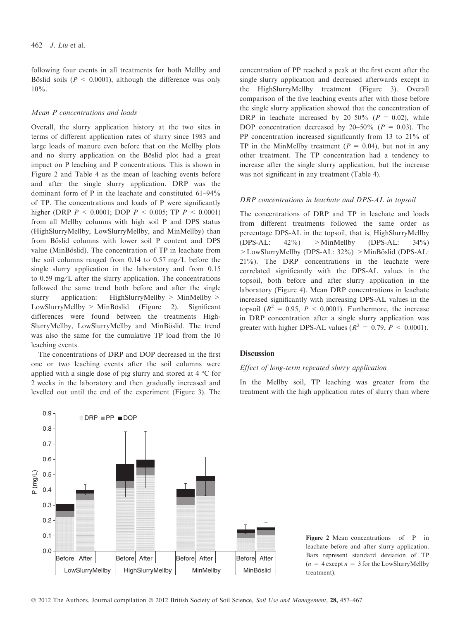following four events in all treatments for both Mellby and Böslid soils ( $P < 0.0001$ ), although the difference was only  $10\%$ .

## Mean P concentrations and loads

Overall, the slurry application history at the two sites in terms of different application rates of slurry since 1983 and large loads of manure even before that on the Mellby plots and no slurry application on the Böslid plot had a great impact on P leaching and P concentrations. This is shown in Figure 2 and Table 4 as the mean of leaching events before and after the single slurry application. DRP was the dominant form of P in the leachate and constituted 61–94% of TP. The concentrations and loads of P were significantly higher (DRP  $P < 0.0001$ ; DOP  $P < 0.005$ ; TP  $P < 0.0001$ ) from all Mellby columns with high soil P and DPS status (HighSlurryMellby, LowSlurryMellby, and MinMellby) than from Böslid columns with lower soil P content and DPS value (MinBöslid). The concentration of TP in leachate from the soil columns ranged from 0.14 to 0.57 mg/L before the single slurry application in the laboratory and from 0.15 to  $0.59 \text{ mg/L}$  after the slurry application. The concentrations followed the same trend both before and after the single slurry application: HighSlurryMellby > MinMellby >  $LowSlurvMellby > MinBöslid$  (Figure 2). Significant differences were found between the treatments High-SlurryMellby, LowSlurryMellby and MinBöslid. The trend was also the same for the cumulative TP load from the 10 leaching events.

The concentrations of DRP and DOP decreased in the first one or two leaching events after the soil columns were applied with a single dose of pig slurry and stored at  $4^{\circ}$ C for 2 weeks in the laboratory and then gradually increased and levelled out until the end of the experiment (Figure 3). The concentration of PP reached a peak at the first event after the single slurry application and decreased afterwards except in the HighSlurryMellby treatment (Figure 3). Overall comparison of the five leaching events after with those before the single slurry application showed that the concentration of DRP in leachate increased by  $20-50\%$  ( $P = 0.02$ ), while DOP concentration decreased by  $20-50\%$  ( $P = 0.03$ ). The PP concentration increased significantly from 13 to 21% of TP in the MinMellby treatment  $(P = 0.04)$ , but not in any other treatment. The TP concentration had a tendency to increase after the single slurry application, but the increase was not significant in any treatment (Table 4).

#### DRP concentrations in leachate and DPS-AL in topsoil

The concentrations of DRP and TP in leachate and loads from different treatments followed the same order as percentage DPS-AL in the topsoil, that is, HighSlurryMellby  $(DPS-AL: 42\%)$  > MinMellby  $(DPS-AL: 34\%)$  $>$ LowSlurryMellby (DPS-AL: 32%)  $>$ MinBöslid (DPS-AL: 21%). The DRP concentrations in the leachate were correlated significantly with the DPS-AL values in the topsoil, both before and after slurry application in the laboratory (Figure 4). Mean DRP concentrations in leachate increased significantly with increasing DPS-AL values in the topsoil ( $R^2 = 0.95$ ,  $P < 0.0001$ ). Furthermore, the increase in DRP concentration after a single slurry application was greater with higher DPS-AL values ( $R^2 = 0.79$ ,  $P \le 0.0001$ ).

# **Discussion**

## Effect of long-term repeated slurry application

In the Mellby soil, TP leaching was greater from the treatment with the high application rates of slurry than where



Figure 2 Mean concentrations of P in leachate before and after slurry application. Bars represent standard deviation of TP  $(n = 4 \text{ except } n = 3 \text{ for the LowSlurryMellby})$ treatment).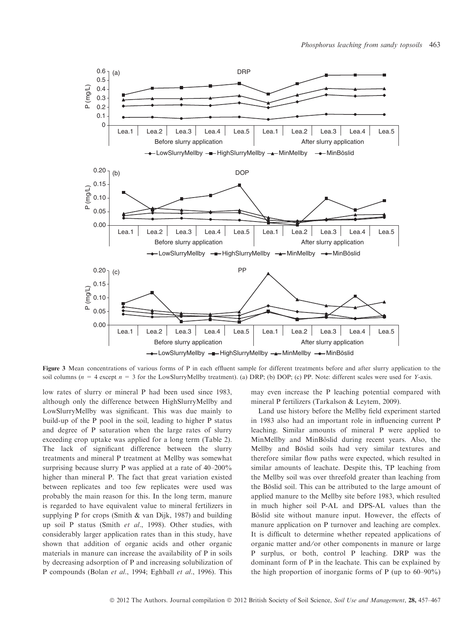![](_page_6_Figure_1.jpeg)

Figure 3 Mean concentrations of various forms of P in each effluent sample for different treatments before and after slurry application to the soil columns ( $n = 4$  except  $n = 3$  for the LowSlurryMellby treatment). (a) DRP; (b) DOP; (c) PP. Note: different scales were used for Y-axis.

low rates of slurry or mineral P had been used since 1983, although only the difference between HighSlurryMellby and LowSlurryMellby was significant. This was due mainly to build-up of the P pool in the soil, leading to higher P status and degree of P saturation when the large rates of slurry exceeding crop uptake was applied for a long term (Table 2). The lack of significant difference between the slurry treatments and mineral P treatment at Mellby was somewhat surprising because slurry P was applied at a rate of 40–200% higher than mineral P. The fact that great variation existed between replicates and too few replicates were used was probably the main reason for this. In the long term, manure is regarded to have equivalent value to mineral fertilizers in supplying P for crops (Smith & van Dijk, 1987) and building up soil P status (Smith et al., 1998). Other studies, with considerably larger application rates than in this study, have shown that addition of organic acids and other organic materials in manure can increase the availability of P in soils by decreasing adsorption of P and increasing solubilization of P compounds (Bolan et al., 1994; Eghball et al., 1996). This

may even increase the P leaching potential compared with mineral P fertilizers (Tarkalson & Leytem, 2009).

Land use history before the Mellby field experiment started in 1983 also had an important role in influencing current P leaching. Similar amounts of mineral P were applied to MinMellby and MinBöslid during recent years. Also, the Mellby and Böslid soils had very similar textures and therefore similar flow paths were expected, which resulted in similar amounts of leachate. Despite this, TP leaching from the Mellby soil was over threefold greater than leaching from the Böslid soil. This can be attributed to the large amount of applied manure to the Mellby site before 1983, which resulted in much higher soil P-AL and DPS-AL values than the Böslid site without manure input. However, the effects of manure application on P turnover and leaching are complex. It is difficult to determine whether repeated applications of organic matter and ⁄ or other components in manure or large P surplus, or both, control P leaching. DRP was the dominant form of P in the leachate. This can be explained by the high proportion of inorganic forms of P (up to 60–90%)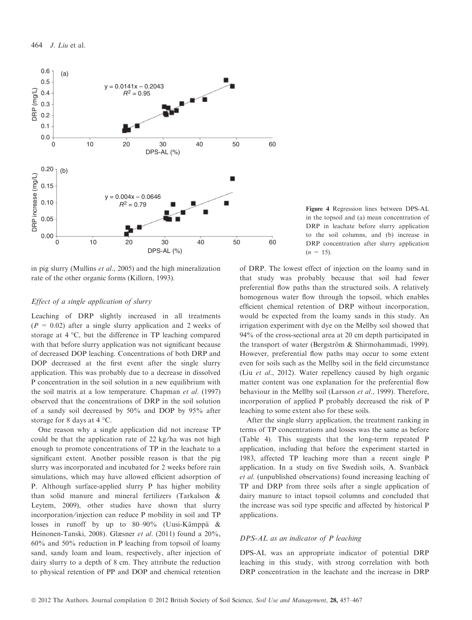![](_page_7_Figure_1.jpeg)

in pig slurry (Mullins et al., 2005) and the high mineralization rate of the other organic forms (Killorn, 1993).

## Effect of a single application of slurry

Leaching of DRP slightly increased in all treatments  $(P = 0.02)$  after a single slurry application and 2 weeks of storage at  $4 \text{ }^{\circ}\text{C}$ , but the difference in TP leaching compared with that before slurry application was not significant because of decreased DOP leaching. Concentrations of both DRP and DOP decreased at the first event after the single slurry application. This was probably due to a decrease in dissolved P concentration in the soil solution in a new equilibrium with the soil matrix at a low temperature. Chapman et al. (1997) observed that the concentrations of DRP in the soil solution of a sandy soil decreased by 50% and DOP by 95% after storage for 8 days at 4  $^{\circ}$ C.

One reason why a single application did not increase TP could be that the application rate of  $22 \text{ kg/ha}$  was not high enough to promote concentrations of TP in the leachate to a significant extent. Another possible reason is that the pig slurry was incorporated and incubated for 2 weeks before rain simulations, which may have allowed efficient adsorption of P. Although surface-applied slurry P has higher mobility than solid manure and mineral fertilizers (Tarkalson & Leytem, 2009), other studies have shown that slurry incorporation/injection can reduce P mobility in soil and TP losses in runoff by up to 80–90% (Uusi-Kämppä & Heinonen-Tanski, 2008). Glæsner et al. (2011) found a 20%, 60% and 50% reduction in P leaching from topsoil of loamy sand, sandy loam and loam, respectively, after injection of dairy slurry to a depth of 8 cm. They attribute the reduction to physical retention of PP and DOP and chemical retention

Figure 4 Regression lines between DPS-AL in the topsoil and (a) mean concentration of DRP in leachate before slurry application to the soil columns, and (b) increase in DRP concentration after slurry application  $(n = 15)$ .

of DRP. The lowest effect of injection on the loamy sand in that study was probably because that soil had fewer preferential flow paths than the structured soils. A relatively homogenous water flow through the topsoil, which enables efficient chemical retention of DRP without incorporation, would be expected from the loamy sands in this study. An irrigation experiment with dye on the Mellby soil showed that 94% of the cross-sectional area at 20 cm depth participated in the transport of water (Bergström & Shirmohammadi, 1999). However, preferential flow paths may occur to some extent even for soils such as the Mellby soil in the field circumstance (Liu et al., 2012). Water repellency caused by high organic matter content was one explanation for the preferential flow behaviour in the Mellby soil (Larsson et al., 1999). Therefore, incorporation of applied P probably decreased the risk of P leaching to some extent also for these soils.

After the single slurry application, the treatment ranking in terms of TP concentrations and losses was the same as before (Table 4). This suggests that the long-term repeated P application, including that before the experiment started in 1983, affected TP leaching more than a recent single P application. In a study on five Swedish soils, A. Svanbäck et al. (unpublished observations) found increasing leaching of TP and DRP from three soils after a single application of dairy manure to intact topsoil columns and concluded that the increase was soil type specific and affected by historical P applications.

## DPS-AL as an indicator of P leaching

DPS-AL was an appropriate indicator of potential DRP leaching in this study, with strong correlation with both DRP concentration in the leachate and the increase in DRP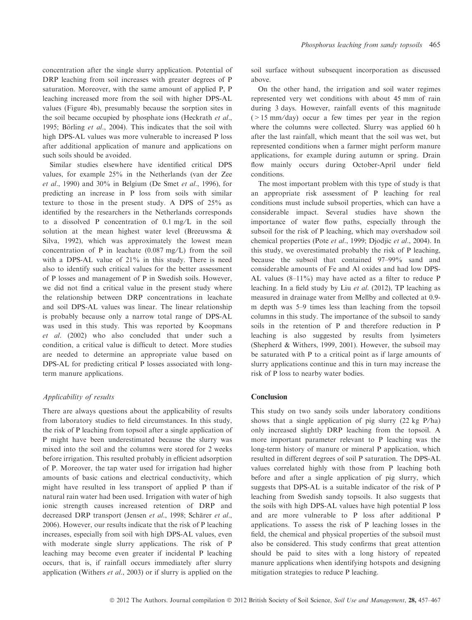concentration after the single slurry application. Potential of DRP leaching from soil increases with greater degrees of P saturation. Moreover, with the same amount of applied P, P leaching increased more from the soil with higher DPS-AL values (Figure 4b), presumably because the sorption sites in the soil became occupied by phosphate ions (Heckrath et al., 1995; Börling et al., 2004). This indicates that the soil with high DPS-AL values was more vulnerable to increased P loss after additional application of manure and applications on such soils should be avoided.

Similar studies elsewhere have identified critical DPS values, for example 25% in the Netherlands (van der Zee et al., 1990) and  $30\%$  in Belgium (De Smet et al., 1996), for predicting an increase in P loss from soils with similar texture to those in the present study. A DPS of 25% as identified by the researchers in the Netherlands corresponds to a dissolved P concentration of  $0.1 \text{ mg/L}$  in the soil solution at the mean highest water level (Breeuwsma & Silva, 1992), which was approximately the lowest mean concentration of P in leachate  $(0.087 \text{ mg/L})$  from the soil with a DPS-AL value of 21% in this study. There is need also to identify such critical values for the better assessment of P losses and management of P in Swedish soils. However, we did not find a critical value in the present study where the relationship between DRP concentrations in leachate and soil DPS-AL values was linear. The linear relationship is probably because only a narrow total range of DPS-AL was used in this study. This was reported by Koopmans et al. (2002) who also concluded that under such a condition, a critical value is difficult to detect. More studies are needed to determine an appropriate value based on DPS-AL for predicting critical P losses associated with longterm manure applications.

## Applicability of results

There are always questions about the applicability of results from laboratory studies to field circumstances. In this study, the risk of P leaching from topsoil after a single application of P might have been underestimated because the slurry was mixed into the soil and the columns were stored for 2 weeks before irrigation. This resulted probably in efficient adsorption of P. Moreover, the tap water used for irrigation had higher amounts of basic cations and electrical conductivity, which might have resulted in less transport of applied P than if natural rain water had been used. Irrigation with water of high ionic strength causes increased retention of DRP and decreased DRP transport (Jensen et al., 1998; Schärer et al., 2006). However, our results indicate that the risk of P leaching increases, especially from soil with high DPS-AL values, even with moderate single slurry applications. The risk of P leaching may become even greater if incidental P leaching occurs, that is, if rainfall occurs immediately after slurry application (Withers et al., 2003) or if slurry is applied on the

soil surface without subsequent incorporation as discussed above.

On the other hand, the irrigation and soil water regimes represented very wet conditions with about 45 mm of rain during 3 days. However, rainfall events of this magnitude  $(>15 \text{ mm/day})$  occur a few times per year in the region where the columns were collected. Slurry was applied 60 h after the last rainfall, which meant that the soil was wet, but represented conditions when a farmer might perform manure applications, for example during autumn or spring. Drain flow mainly occurs during October-April under field conditions.

The most important problem with this type of study is that an appropriate risk assessment of P leaching for real conditions must include subsoil properties, which can have a considerable impact. Several studies have shown the importance of water flow paths, especially through the subsoil for the risk of P leaching, which may overshadow soil chemical properties (Pote et al., 1999; Djodjic et al., 2004). In this study, we overestimated probably the risk of P leaching, because the subsoil that contained 97–99% sand and considerable amounts of Fe and Al oxides and had low DPS-AL values (8–11%) may have acted as a filter to reduce P leaching. In a field study by Liu et al. (2012), TP leaching as measured in drainage water from Mellby and collected at 0.9 m depth was 5–9 times less than leaching from the topsoil columns in this study. The importance of the subsoil to sandy soils in the retention of P and therefore reduction in P leaching is also suggested by results from lysimeters (Shepherd & Withers, 1999, 2001). However, the subsoil may be saturated with P to a critical point as if large amounts of slurry applications continue and this in turn may increase the risk of P loss to nearby water bodies.

# Conclusion

This study on two sandy soils under laboratory conditions shows that a single application of pig slurry  $(22 \text{ kg } P/ha)$ only increased slightly DRP leaching from the topsoil. A more important parameter relevant to P leaching was the long-term history of manure or mineral P application, which resulted in different degrees of soil P saturation. The DPS-AL values correlated highly with those from P leaching both before and after a single application of pig slurry, which suggests that DPS-AL is a suitable indicator of the risk of P leaching from Swedish sandy topsoils. It also suggests that the soils with high DPS-AL values have high potential P loss and are more vulnerable to P loss after additional P applications. To assess the risk of P leaching losses in the field, the chemical and physical properties of the subsoil must also be considered. This study confirms that great attention should be paid to sites with a long history of repeated manure applications when identifying hotspots and designing mitigation strategies to reduce P leaching.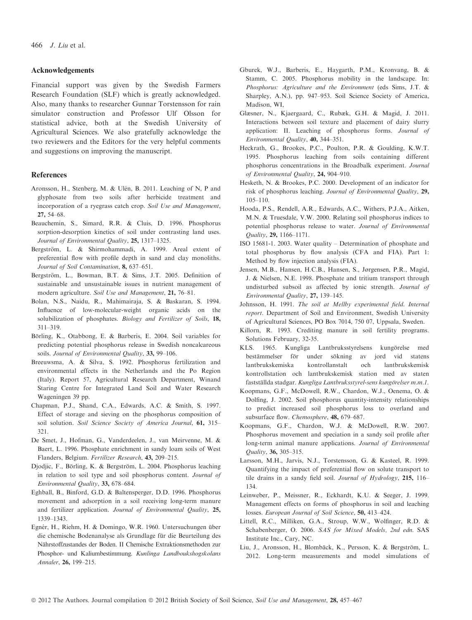#### Acknowledgements

Financial support was given by the Swedish Farmers Research Foundation (SLF) which is greatly acknowledged. Also, many thanks to researcher Gunnar Torstensson for rain simulator construction and Professor Ulf Olsson for statistical advice, both at the Swedish University of Agricultural Sciences. We also gratefully acknowledge the two reviewers and the Editors for the very helpful comments and suggestions on improving the manuscript.

#### References

- Aronsson, H., Stenberg, M. & Ulén, B. 2011. Leaching of N, P and glyphosate from two soils after herbicide treatment and incorporation of a ryegrass catch crop. Soil Use and Management, 27, 54–68.
- Beauchemin, S., Simard, R.R. & Cluis, D. 1996. Phosphorus sorption-desorption kinetics of soil under contrasting land uses. Journal of Environmental Quality, 25, 1317–1325.
- Bergström, L. & Shirmohammadi, A. 1999. Areal extent of preferential flow with profile depth in sand and clay monoliths. Journal of Soil Contamination, 8, 637–651.
- Bergström, L., Bowman, B.T. & Sims, J.T. 2005. Definition of sustainable and unsustainable issues in nutrient management of modern agriculture. Soil Use and Management, 21, 76-81.
- Bolan, N.S., Naidu, R., Mahimairaja, S. & Baskaran, S. 1994. Influence of low-molecular-weight organic acids on the solubilization of phosphates. Biology and Fertilizer of Soils, 18, 311–319.
- Börling, K., Otabbong, E. & Barberis, E. 2004. Soil variables for predicting potential phosphorus release in Swedish noncalcareous soils. Journal of Environmental Quality, 33, 99-106.
- Breeuwsma, A. & Silva, S. 1992. Phosphorus fertilization and environmental effects in the Netherlands and the Po Region (Italy). Report 57, Agricultural Research Department, Winand Staring Centre for Integrated Land Soil and Water Research Wageningen 39 pp.
- Chapman, P.J., Shand, C.A., Edwards, A.C. & Smith, S. 1997. Effect of storage and sieving on the phosphorus composition of soil solution. Soil Science Society of America Journal, 61, 315-321.
- De Smet, J., Hofman, G., Vanderdeelen, J., van Meirvenne, M. & Baert, L. 1996. Phosphate enrichment in sandy loam soils of West Flanders, Belgium. Fertilizer Research, 43, 209–215.
- Djodjic, F., Börling, K. & Bergström, L. 2004. Phosphorus leaching in relation to soil type and soil phosphorus content. Journal of Environmental Quality, 33, 678–684.
- Eghball, B., Binford, G.D. & Baltensperger, D.D. 1996. Phosphorus movement and adsorption in a soil receiving long-term manure and fertilizer application. Journal of Environmental Quality, 25, 1339–1343.
- Egnér, H., Riehm, H. & Domingo, W.R. 1960. Untersuchungen über die chemische Bodenanalyse als Grundlage für die Beurteilung des Nährstoffzustandes der Boden. II Chemische Extraktionsmethoden zur Phosphor- und Kaliumbestimmung. Kunlinga Landboukshogskolans Annaler, 26, 199–215.
- Gburek, W.J., Barberis, E., Haygarth, P.M., Kronvang, B. & Stamm, C. 2005. Phosphorus mobility in the landscape. In: Phosphorus: Agriculture and the Environment (eds Sims, J.T. & Sharpley, A.N.), pp. 947–953. Soil Science Society of America, Madison, WI,
- Glæsner, N., Kjaergaard, C., Rubæk, G.H. & Magid, J. 2011. Interactions between soil texture and placement of dairy slurry application: II. Leaching of phosphorus forms. Journal of Environmental Quality, 40, 344–351.
- Heckrath, G., Brookes, P.C., Poulton, P.R. & Goulding, K.W.T. 1995. Phosphorus leaching from soils containing different phosphorus concentrations in the Broadbalk experiment. Journal of Environmental Quality, 24, 904–910.
- Hesketh, N. & Brookes, P.C. 2000. Development of an indicator for risk of phosphorus leaching. Journal of Environmental Quality, 29, 105–110.
- Hooda, P.S., Rendell, A.R., Edwards, A.C., Withers, P.J.A., Aitken, M.N. & Truesdale, V.W. 2000. Relating soil phosphorus indices to potential phosphorus release to water. Journal of Environmental Quality, 29, 1166–1171.
- ISO 15681-1. 2003. Water quality Determination of phosphate and total phosphorus by flow analysis (CFA and FIA). Part 1: Method by flow injection analysis (FIA).
- Jensen, M.B., Hansen, H.C.B., Hansen, S., Jørgensen, P.R., Magid, J. & Nielsen, N.E. 1998. Phosphate and tritium transport through undisturbed subsoil as affected by ionic strength. Journal of Environmental Quality, 27, 139–145.
- Johnsson, H. 1991. The soil at Mellby experimental field. Internal report. Department of Soil and Environment, Swedish University of Agricultural Sciences, PO Box 7014, 750 07, Uppsala, Sweden.
- Killorn, R. 1993. Crediting manure in soil fertility programs. Solutions February, 32-35.
- KLS. 1965. Kungliga Lantbruksstyrelsens kungörelse med bestämmelser för under sökning av jord vid statens lantbrukskemiska kontrollanstalt och lantbrukskemisk kontrollstation och lantbrukskemisk station med av staten fastställda stadgar. Kungliga Lantbruksstyrel-sens kungörelser m.m.1.
- Koopmans, G.F., McDowell, R.W., Chardon, W.J., Oenema, O. & Dolfing, J. 2002. Soil phosphorus quantity-intensity relationships to predict increased soil phosphorus loss to overland and subsurface flow. Chemosphere, 48, 679–687.
- Koopmans, G.F., Chardon, W.J. & McDowell, R.W. 2007. Phosphorus movement and speciation in a sandy soil profile after long-term animal manure applications. Journal of Environmental Quality, 36, 305–315.
- Larsson, M.H., Jarvis, N.J., Torstensson, G. & Kasteel, R. 1999. Quantifying the impact of preferential flow on solute transport to tile drains in a sandy field soil. Journal of Hydrology, 215, 116– 134.
- Leinweber, P., Meissner, R., Eckhardt, K.U. & Seeger, J. 1999. Management effects on forms of phosphorus in soil and leaching losses. European Journal of Soil Science, 50, 413–424.
- Littell, R.C., Milliken, G.A., Stroup, W.W., Wolfinger, R.D. & Schabenberger, O. 2006. SAS for Mixed Models, 2nd edn. SAS Institute Inc., Cary, NC.
- Liu, J., Aronsson, H., Blombäck, K., Persson, K. & Bergström, L. 2012. Long-term measurements and model simulations of